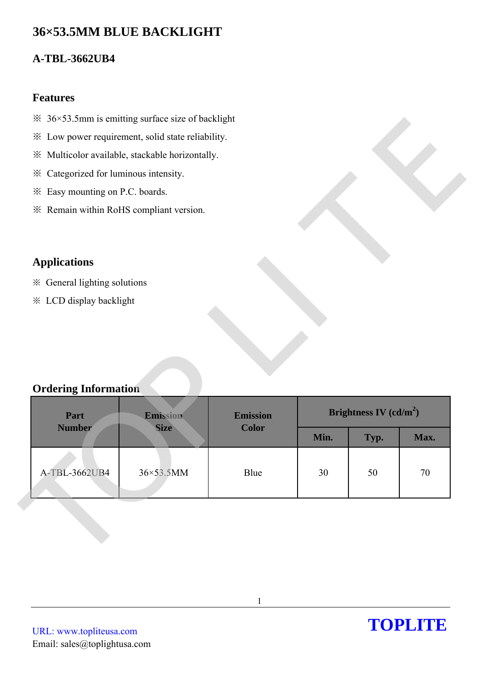# **36×53.5MM BLUE BACKLIGHT**

# **A-TBL-3662UB4**

### **Features**

- $\frac{36}{53.5}$  Smm is emitting surface size of backlight
- ※ Low power requirement, solid state reliability.
- ※ Multicolor available, stackable horizontally.
- ※ Categorized for luminous intensity.
- ※ Easy mounting on P.C. boards.
- ※ Remain within RoHS compliant version.

## **Applications**

- ※ General lighting solutions
- ※ LCD display backlight

### **Ordering Information**

| $\frac{36}{53.5}$ Smm is emitting surface size of backlight |                                                   |                                 |      |                          |      |
|-------------------------------------------------------------|---------------------------------------------------|---------------------------------|------|--------------------------|------|
|                                                             | * Low power requirement, solid state reliability. |                                 |      |                          |      |
|                                                             | ※ Multicolor available, stackable horizontally.   |                                 |      |                          |      |
| * Categorized for luminous intensity.                       |                                                   |                                 |      |                          |      |
| * Easy mounting on P.C. boards.                             |                                                   |                                 |      |                          |      |
| * Remain within RoHS compliant version.                     |                                                   |                                 |      |                          |      |
|                                                             |                                                   |                                 |      |                          |      |
|                                                             |                                                   |                                 |      |                          |      |
| <b>Applications</b>                                         |                                                   |                                 |      |                          |      |
| ※ General lighting solutions                                |                                                   |                                 |      |                          |      |
| * LCD display backlight                                     |                                                   |                                 |      |                          |      |
|                                                             |                                                   |                                 |      |                          |      |
|                                                             |                                                   |                                 |      |                          |      |
|                                                             |                                                   |                                 |      |                          |      |
|                                                             |                                                   |                                 |      |                          |      |
|                                                             |                                                   |                                 |      |                          |      |
| <b>Ordering Information</b>                                 |                                                   |                                 |      |                          |      |
|                                                             |                                                   |                                 |      |                          |      |
| Part<br><b>Number</b>                                       | Emission<br><b>Size</b>                           | <b>Emission</b><br><b>Color</b> |      | Brightness IV $(cd/m^2)$ |      |
|                                                             |                                                   |                                 | Min. | Typ.                     | Max. |
|                                                             |                                                   |                                 |      |                          |      |
| A-TBL-3662UB4                                               | 36×53.5MM                                         | Blue                            | 30   | 50                       | 70   |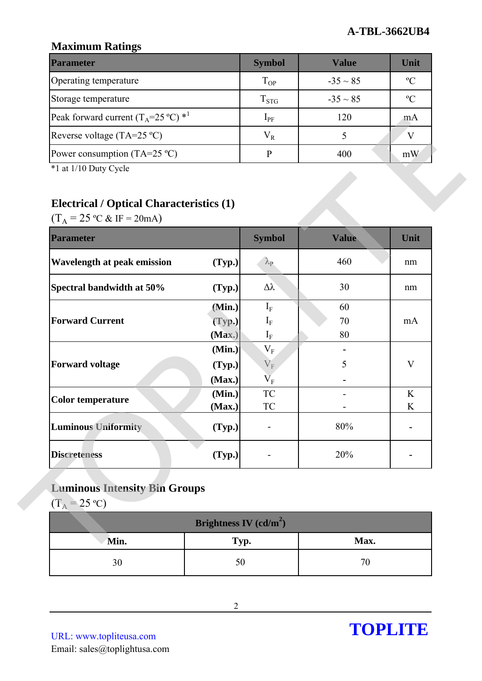### **Maximum Ratings**

| <b>Parameter</b>                                        | <b>Symbol</b> | Value         | Unit        |
|---------------------------------------------------------|---------------|---------------|-------------|
| Operating temperature                                   | $T_{OP}$      | $-35 \sim 85$ | $\rm ^{o}C$ |
| Storage temperature                                     | $T_{STG}$     | $-35 \sim 85$ | $\rm ^oC$   |
| Peak forward current $(T_A=25 \degree C)$ <sup>*1</sup> | $1_{\rm PF}$  | 120           | mA          |
| Reverse voltage (TA=25 $^{\circ}$ C)                    | $\rm V_R$     |               |             |
| Power consumption (TA=25 $^{\circ}$ C)                  |               | 400           | mW          |

# **Electrical / Optical Characteristics (1)**

| <b>Parameter</b><br>Wavelength at peak emission |        | <b>Symbol</b>                      | <b>Value</b> | Unit |
|-------------------------------------------------|--------|------------------------------------|--------------|------|
|                                                 |        |                                    |              |      |
|                                                 | (Typ.) | $\lambda_{\rm P}$                  | 460          | nm   |
| Spectral bandwidth at 50%                       | (Typ.) | Δλ                                 | 30           | nm   |
|                                                 | (Min.) | $I_F$                              | 60           |      |
| <b>Forward Current</b>                          | (Typ.) | $I_{F}$                            | 70           | mA   |
|                                                 | (Max.) | $I_{F}$                            | 80           |      |
|                                                 | (Min.) | $\mathbf{V}_\mathrm{F}$            |              |      |
| <b>Forward voltage</b>                          | (Typ.) | $\mathbf{V}_\mathrm{F}$            | 5            | V    |
|                                                 | (Max.) | $\overline{\mathbf{V}}_{\text{F}}$ |              |      |
| <b>Color temperature</b>                        | (Min.) | <b>TC</b>                          |              | K    |
|                                                 | (Max.) | TC                                 |              | K    |
| <b>Luminous Uniformity</b>                      | (Typ.) |                                    | 80%          |      |
|                                                 |        |                                    |              |      |

# **Luminous Intensity Bin Groups**

| Brightness IV (cd/m <sup>2</sup> ) |      |      |  |  |
|------------------------------------|------|------|--|--|
| Min.                               | Typ. | Max. |  |  |
|                                    | ЭU   |      |  |  |

URL: www.topliteusa.com Email: sales@toplightusa.com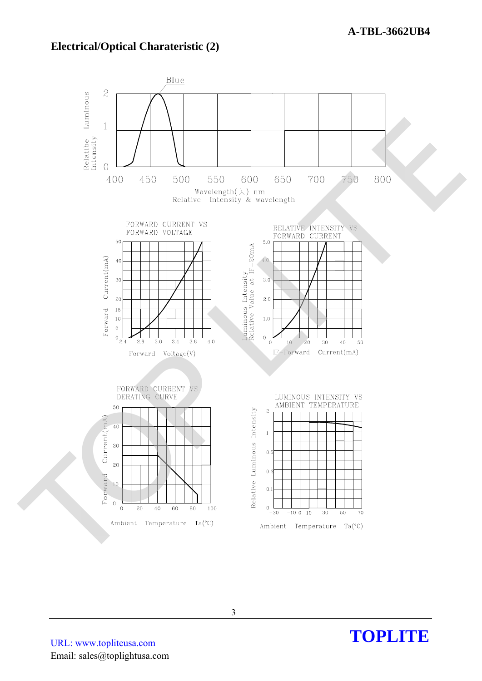### **Electrical/Optical Charateristic (2)**



URL: www.topliteusa.com Email: sales@toplightusa.com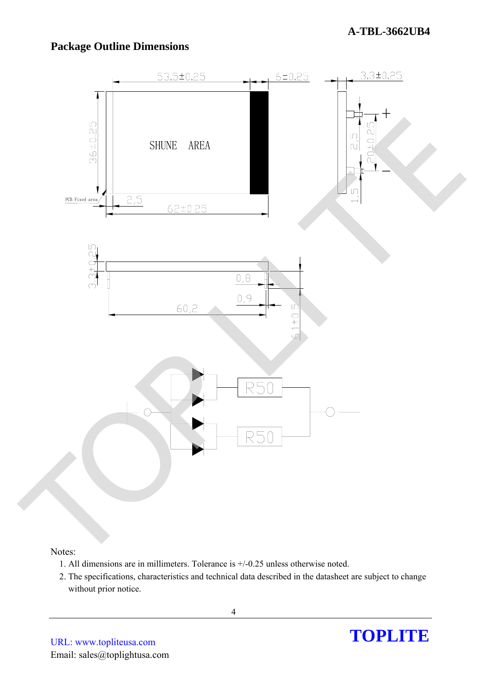# **Package Outline Dimensions**



#### Notes:

- 1. All dimensions are in millimeters. Tolerance is +/-0.25 unless otherwise noted.
- 2. The specifications, characteristics and technical data described in the datasheet are subject to change without prior notice.